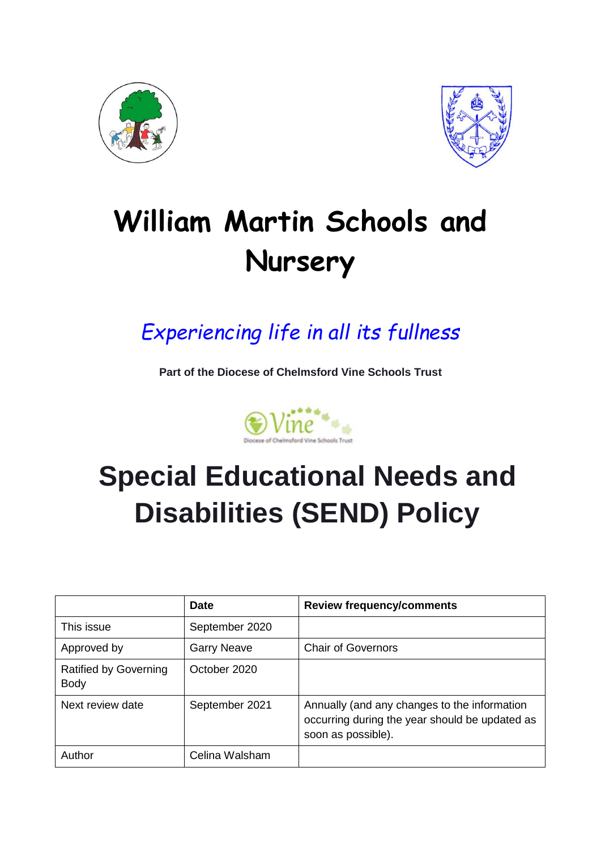



# **William Martin Schools and Nursery**

# *Experiencing life in all its fullness*

**Part of the Diocese of Chelmsford Vine Schools Trust**



# **Special Educational Needs and Disabilities (SEND) Policy**

|                                             | <b>Date</b>        | <b>Review frequency/comments</b>                                                                                     |
|---------------------------------------------|--------------------|----------------------------------------------------------------------------------------------------------------------|
| This issue                                  | September 2020     |                                                                                                                      |
| Approved by                                 | <b>Garry Neave</b> | <b>Chair of Governors</b>                                                                                            |
| <b>Ratified by Governing</b><br><b>Body</b> | October 2020       |                                                                                                                      |
| Next review date                            | September 2021     | Annually (and any changes to the information<br>occurring during the year should be updated as<br>soon as possible). |
| Author                                      | Celina Walsham     |                                                                                                                      |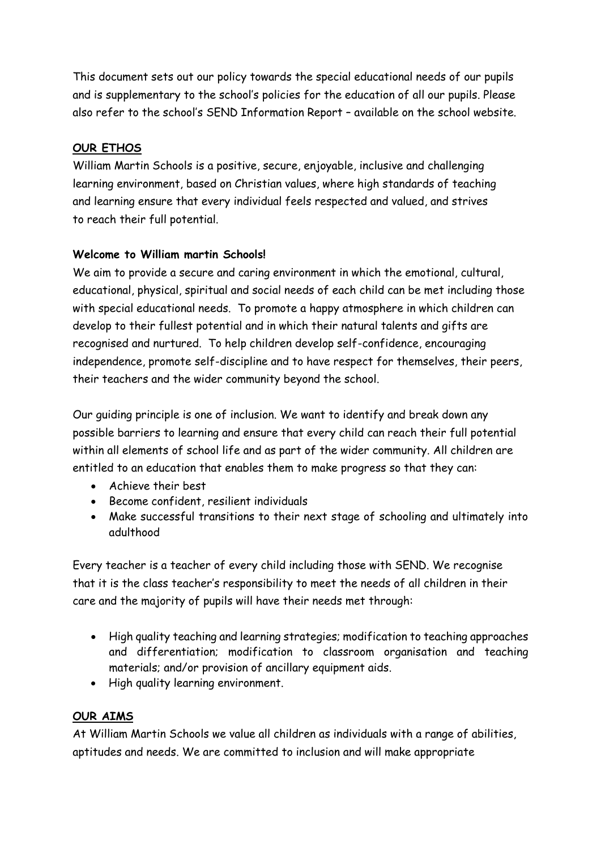This document sets out our policy towards the special educational needs of our pupils and is supplementary to the school's policies for the education of all our pupils. Please also refer to the school's SEND Information Report – available on the school website.

## **OUR ETHOS**

William Martin Schools is a positive, secure, enjoyable, inclusive and challenging learning environment, based on Christian values, where high standards of teaching and learning ensure that every individual feels respected and valued, and strives to reach their full potential.

## **Welcome to William martin Schools!**

We aim to provide a secure and caring environment in which the emotional, cultural, educational, physical, spiritual and social needs of each child can be met including those with special educational needs. To promote a happy atmosphere in which children can develop to their fullest potential and in which their natural talents and gifts are recognised and nurtured. To help children develop self-confidence, encouraging independence, promote self-discipline and to have respect for themselves, their peers, their teachers and the wider community beyond the school.

Our guiding principle is one of inclusion. We want to identify and break down any possible barriers to learning and ensure that every child can reach their full potential within all elements of school life and as part of the wider community. All children are entitled to an education that enables them to make progress so that they can:

- Achieve their best
- Become confident, resilient individuals
- Make successful transitions to their next stage of schooling and ultimately into adulthood

Every teacher is a teacher of every child including those with SEND. We recognise that it is the class teacher's responsibility to meet the needs of all children in their care and the majority of pupils will have their needs met through:

- High quality teaching and learning strategies; modification to teaching approaches and differentiation; modification to classroom organisation and teaching materials; and/or provision of ancillary equipment aids.
- High quality learning environment.

# **OUR AIMS**

At William Martin Schools we value all children as individuals with a range of abilities, aptitudes and needs. We are committed to inclusion and will make appropriate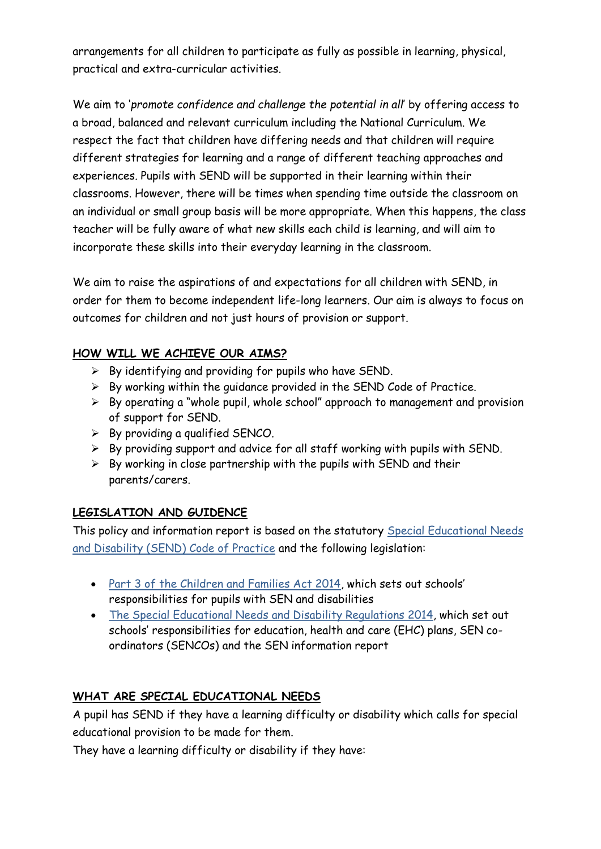arrangements for all children to participate as fully as possible in learning, physical, practical and extra-curricular activities.

We aim to '*promote confidence and challenge the potential in all*' by offering access to a broad, balanced and relevant curriculum including the National Curriculum. We respect the fact that children have differing needs and that children will require different strategies for learning and a range of different teaching approaches and experiences. Pupils with SEND will be supported in their learning within their classrooms. However, there will be times when spending time outside the classroom on an individual or small group basis will be more appropriate. When this happens, the class teacher will be fully aware of what new skills each child is learning, and will aim to incorporate these skills into their everyday learning in the classroom.

We aim to raise the aspirations of and expectations for all children with SEND, in order for them to become independent life-long learners. Our aim is always to focus on outcomes for children and not just hours of provision or support.

#### **HOW WILL WE ACHIEVE OUR AIMS?**

- $\triangleright$  By identifying and providing for pupils who have SEND.
- $\triangleright$  By working within the guidance provided in the SEND Code of Practice.
- $\triangleright$  By operating a "whole pupil, whole school" approach to management and provision of support for SEND.
- $\triangleright$  By providing a qualified SENCO.
- ➢ By providing support and advice for all staff working with pupils with SEND.
- $\triangleright$  By working in close partnership with the pupils with SEND and their parents/carers.

# **LEGISLATION AND GUIDENCE**

This policy and information report is based on the statutory [Special Educational Needs](https://www.gov.uk/government/uploads/system/uploads/attachment_data/file/398815/SEND_Code_of_Practice_January_2015.pdf)  [and Disability \(SEND\) Code of Practice](https://www.gov.uk/government/uploads/system/uploads/attachment_data/file/398815/SEND_Code_of_Practice_January_2015.pdf) and the following legislation:

- Part 3 of the [Children and Families Act 2014](http://www.legislation.gov.uk/ukpga/2014/6/part/3), which sets out schools' responsibilities for pupils with SEN and disabilities
- [The Special Educational Needs and Disability Regulations 2014,](http://www.legislation.gov.uk/uksi/2014/1530/contents/made) which set out schools' responsibilities for education, health and care (EHC) plans, SEN coordinators (SENCOs) and the SEN information report

# **WHAT ARE SPECIAL EDUCATIONAL NEEDS**

A pupil has SEND if they have a learning difficulty or disability which calls for special educational provision to be made for them.

They have a learning difficulty or disability if they have: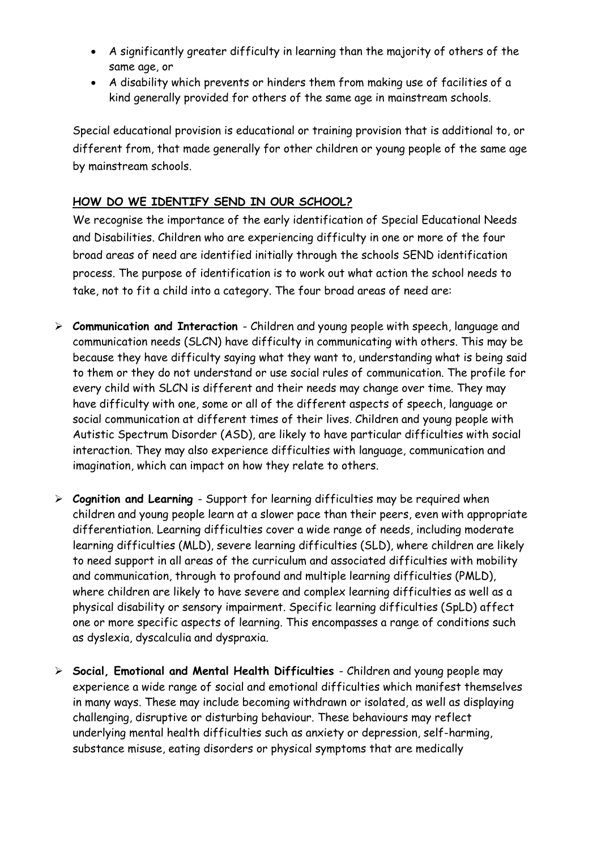- A significantly greater difficulty in learning than the majority of others of the same age, or
- A disability which prevents or hinders them from making use of facilities of a kind generally provided for others of the same age in mainstream schools.

Special educational provision is educational or training provision that is additional to, or different from, that made generally for other children or young people of the same age by mainstream schools.

# **HOW DO WE IDENTIFY SEND IN OUR SCHOOL?**

We recognise the importance of the early identification of Special Educational Needs and Disabilities. Children who are experiencing difficulty in one or more of the four broad areas of need are identified initially through the schools SEND identification process. The purpose of identification is to work out what action the school needs to take, not to fit a child into a category. The four broad areas of need are:

- ➢ **Communication and Interaction**  Children and young people with speech, language and communication needs (SLCN) have difficulty in communicating with others. This may be because they have difficulty saying what they want to, understanding what is being said to them or they do not understand or use social rules of communication. The profile for every child with SLCN is different and their needs may change over time. They may have difficulty with one, some or all of the different aspects of speech, language or social communication at different times of their lives. Children and young people with Autistic Spectrum Disorder (ASD), are likely to have particular difficulties with social interaction. They may also experience difficulties with language, communication and imagination, which can impact on how they relate to others.
- ➢ **Cognition and Learning**  Support for learning difficulties may be required when children and young people learn at a slower pace than their peers, even with appropriate differentiation. Learning difficulties cover a wide range of needs, including moderate learning difficulties (MLD), severe learning difficulties (SLD), where children are likely to need support in all areas of the curriculum and associated difficulties with mobility and communication, through to profound and multiple learning difficulties (PMLD), where children are likely to have severe and complex learning difficulties as well as a physical disability or sensory impairment. Specific learning difficulties (SpLD) affect one or more specific aspects of learning. This encompasses a range of conditions such as dyslexia, dyscalculia and dyspraxia.
- ➢ **Social, Emotional and Mental Health Difficulties**  Children and young people may experience a wide range of social and emotional difficulties which manifest themselves in many ways. These may include becoming withdrawn or isolated, as well as displaying challenging, disruptive or disturbing behaviour. These behaviours may reflect underlying mental health difficulties such as anxiety or depression, self-harming, substance misuse, eating disorders or physical symptoms that are medically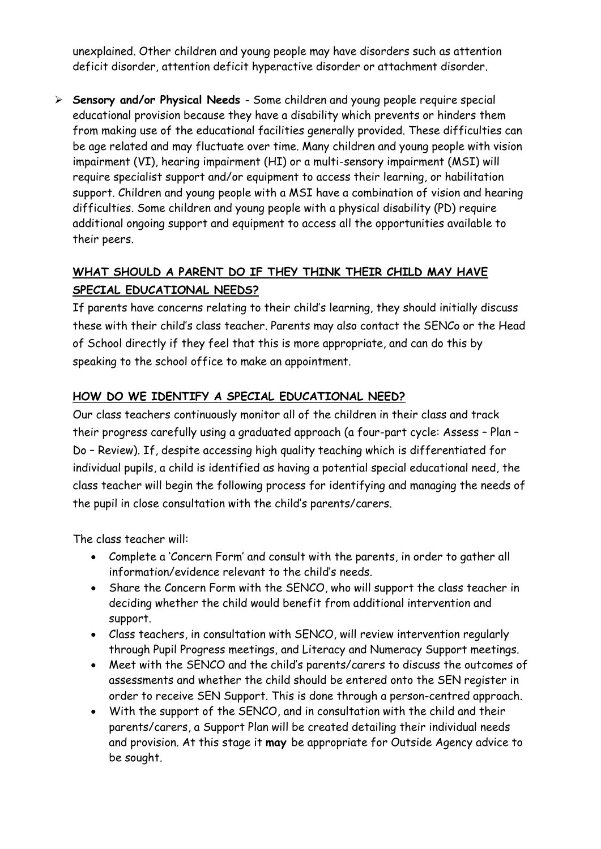unexplained. Other children and young people may have disorders such as attention deficit disorder, attention deficit hyperactive disorder or attachment disorder.

➢ **Sensory and/or Physical Needs** - Some children and young people require special educational provision because they have a disability which prevents or hinders them from making use of the educational facilities generally provided. These difficulties can be age related and may fluctuate over time. Many children and young people with vision impairment (VI), hearing impairment (HI) or a multi-sensory impairment (MSI) will require specialist support and/or equipment to access their learning, or habilitation support. Children and young people with a MSI have a combination of vision and hearing difficulties. Some children and young people with a physical disability (PD) require additional ongoing support and equipment to access all the opportunities available to their peers.

# **WHAT SHOULD A PARENT DO IF THEY THINK THEIR CHILD MAY HAVE SPECIAL EDUCATIONAL NEEDS?**

If parents have concerns relating to their child's learning, they should initially discuss these with their child's class teacher. Parents may also contact the SENCo or the Head of School directly if they feel that this is more appropriate, and can do this by speaking to the school office to make an appointment.

# **HOW DO WE IDENTIFY A SPECIAL EDUCATIONAL NEED?**

Our class teachers continuously monitor all of the children in their class and track their progress carefully using a graduated approach (a four-part cycle: Assess – Plan – Do – Review). If, despite accessing high quality teaching which is differentiated for individual pupils, a child is identified as having a potential special educational need, the class teacher will begin the following process for identifying and managing the needs of the pupil in close consultation with the child's parents/carers.

The class teacher will:

- Complete a 'Concern Form' and consult with the parents, in order to gather all information/evidence relevant to the child's needs.
- Share the Concern Form with the SENCO, who will support the class teacher in deciding whether the child would benefit from additional intervention and support.
- Class teachers, in consultation with SENCO, will review intervention regularly through Pupil Progress meetings, and Literacy and Numeracy Support meetings.
- Meet with the SENCO and the child's parents/carers to discuss the outcomes of assessments and whether the child should be entered onto the SEN register in order to receive SEN Support. This is done through a person-centred approach.
- With the support of the SENCO, and in consultation with the child and their parents/carers, a Support Plan will be created detailing their individual needs and provision. At this stage it **may** be appropriate for Outside Agency advice to be sought.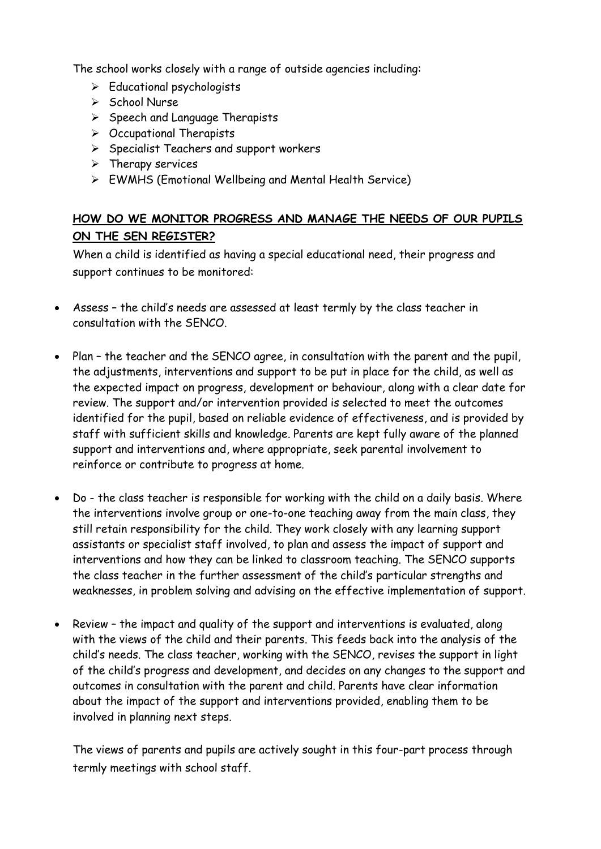The school works closely with a range of outside agencies including:

- ➢ Educational psychologists
- ➢ School Nurse
- ➢ Speech and Language Therapists
- ➢ Occupational Therapists
- ➢ Specialist Teachers and support workers
- ➢ Therapy services
- ➢ EWMHS (Emotional Wellbeing and Mental Health Service)

# **HOW DO WE MONITOR PROGRESS AND MANAGE THE NEEDS OF OUR PUPILS ON THE SEN REGISTER?**

When a child is identified as having a special educational need, their progress and support continues to be monitored:

- Assess the child's needs are assessed at least termly by the class teacher in consultation with the SENCO.
- Plan the teacher and the SENCO agree, in consultation with the parent and the pupil, the adjustments, interventions and support to be put in place for the child, as well as the expected impact on progress, development or behaviour, along with a clear date for review. The support and/or intervention provided is selected to meet the outcomes identified for the pupil, based on reliable evidence of effectiveness, and is provided by staff with sufficient skills and knowledge. Parents are kept fully aware of the planned support and interventions and, where appropriate, seek parental involvement to reinforce or contribute to progress at home.
- Do the class teacher is responsible for working with the child on a daily basis. Where the interventions involve group or one-to-one teaching away from the main class, they still retain responsibility for the child. They work closely with any learning support assistants or specialist staff involved, to plan and assess the impact of support and interventions and how they can be linked to classroom teaching. The SENCO supports the class teacher in the further assessment of the child's particular strengths and weaknesses, in problem solving and advising on the effective implementation of support.
- Review the impact and quality of the support and interventions is evaluated, along with the views of the child and their parents. This feeds back into the analysis of the child's needs. The class teacher, working with the SENCO, revises the support in light of the child's progress and development, and decides on any changes to the support and outcomes in consultation with the parent and child. Parents have clear information about the impact of the support and interventions provided, enabling them to be involved in planning next steps.

The views of parents and pupils are actively sought in this four-part process through termly meetings with school staff.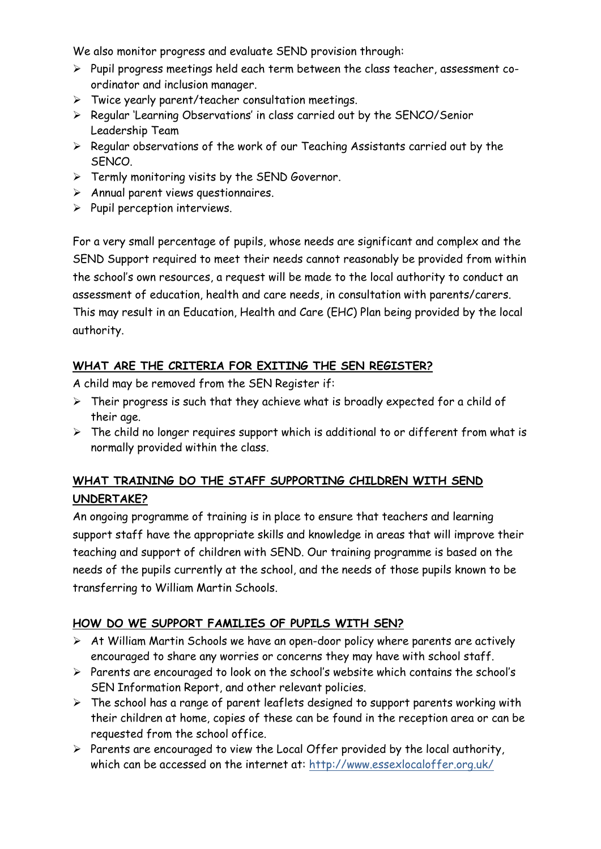We also monitor progress and evaluate SEND provision through:

- ➢ Pupil progress meetings held each term between the class teacher, assessment coordinator and inclusion manager.
- ➢ Twice yearly parent/teacher consultation meetings.
- ➢ Regular 'Learning Observations' in class carried out by the SENCO/Senior Leadership Team
- ➢ Regular observations of the work of our Teaching Assistants carried out by the SENCO.
- ➢ Termly monitoring visits by the SEND Governor.
- ➢ Annual parent views questionnaires.
- ➢ Pupil perception interviews.

For a very small percentage of pupils, whose needs are significant and complex and the SEND Support required to meet their needs cannot reasonably be provided from within the school's own resources, a request will be made to the local authority to conduct an assessment of education, health and care needs, in consultation with parents/carers. This may result in an Education, Health and Care (EHC) Plan being provided by the local authority.

# **WHAT ARE THE CRITERIA FOR EXITING THE SEN REGISTER?**

A child may be removed from the SEN Register if:

- $\triangleright$  Their progress is such that they achieve what is broadly expected for a child of their age.
- $\triangleright$  The child no longer requires support which is additional to or different from what is normally provided within the class.

# **WHAT TRAINING DO THE STAFF SUPPORTING CHILDREN WITH SEND UNDERTAKE?**

An ongoing programme of training is in place to ensure that teachers and learning support staff have the appropriate skills and knowledge in areas that will improve their teaching and support of children with SEND. Our training programme is based on the needs of the pupils currently at the school, and the needs of those pupils known to be transferring to William Martin Schools.

# **HOW DO WE SUPPORT FAMILIES OF PUPILS WITH SEN?**

- ➢ At William Martin Schools we have an open-door policy where parents are actively encouraged to share any worries or concerns they may have with school staff.
- ➢ Parents are encouraged to look on the school's website which contains the school's SEN Information Report, and other relevant policies.
- $\triangleright$  The school has a range of parent leaflets designed to support parents working with their children at home, copies of these can be found in the reception area or can be requested from the school office.
- ➢ Parents are encouraged to view the Local Offer provided by the local authority, which can be accessed on the internet at: <http://www.essexlocaloffer.org.uk/>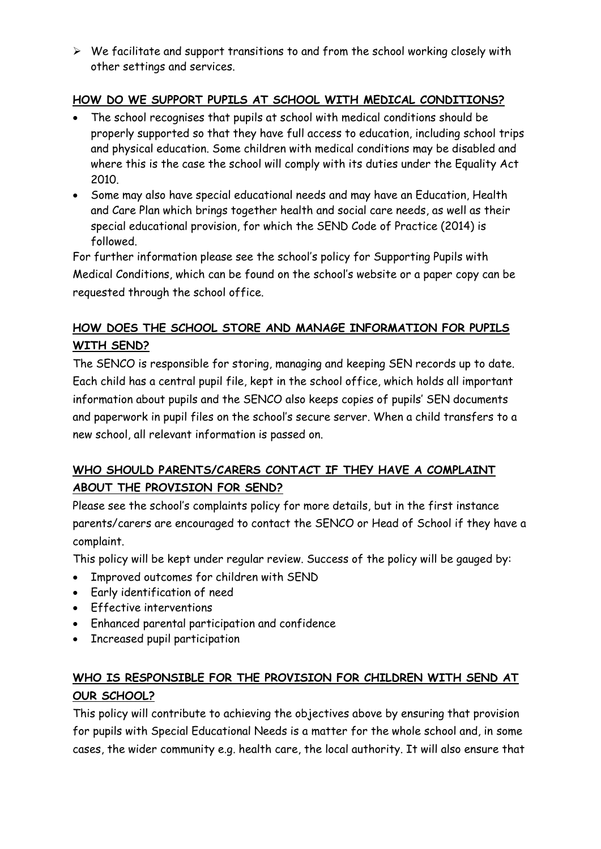➢ We facilitate and support transitions to and from the school working closely with other settings and services.

# **HOW DO WE SUPPORT PUPILS AT SCHOOL WITH MEDICAL CONDITIONS?**

- The school recognises that pupils at school with medical conditions should be properly supported so that they have full access to education, including school trips and physical education. Some children with medical conditions may be disabled and where this is the case the school will comply with its duties under the Equality Act 2010.
- Some may also have special educational needs and may have an Education, Health and Care Plan which brings together health and social care needs, as well as their special educational provision, for which the SEND Code of Practice (2014) is followed.

For further information please see the school's policy for Supporting Pupils with Medical Conditions, which can be found on the school's website or a paper copy can be requested through the school office.

# **HOW DOES THE SCHOOL STORE AND MANAGE INFORMATION FOR PUPILS WITH SEND?**

The SENCO is responsible for storing, managing and keeping SEN records up to date. Each child has a central pupil file, kept in the school office, which holds all important information about pupils and the SENCO also keeps copies of pupils' SEN documents and paperwork in pupil files on the school's secure server. When a child transfers to a new school, all relevant information is passed on.

# **WHO SHOULD PARENTS/CARERS CONTACT IF THEY HAVE A COMPLAINT ABOUT THE PROVISION FOR SEND?**

Please see the school's complaints policy for more details, but in the first instance parents/carers are encouraged to contact the SENCO or Head of School if they have a complaint.

This policy will be kept under regular review. Success of the policy will be gauged by:

- Improved outcomes for children with SEND
- Early identification of need
- Effective interventions
- Enhanced parental participation and confidence
- Increased pupil participation

# **WHO IS RESPONSIBLE FOR THE PROVISION FOR CHILDREN WITH SEND AT OUR SCHOOL?**

This policy will contribute to achieving the objectives above by ensuring that provision for pupils with Special Educational Needs is a matter for the whole school and, in some cases, the wider community e.g. health care, the local authority. It will also ensure that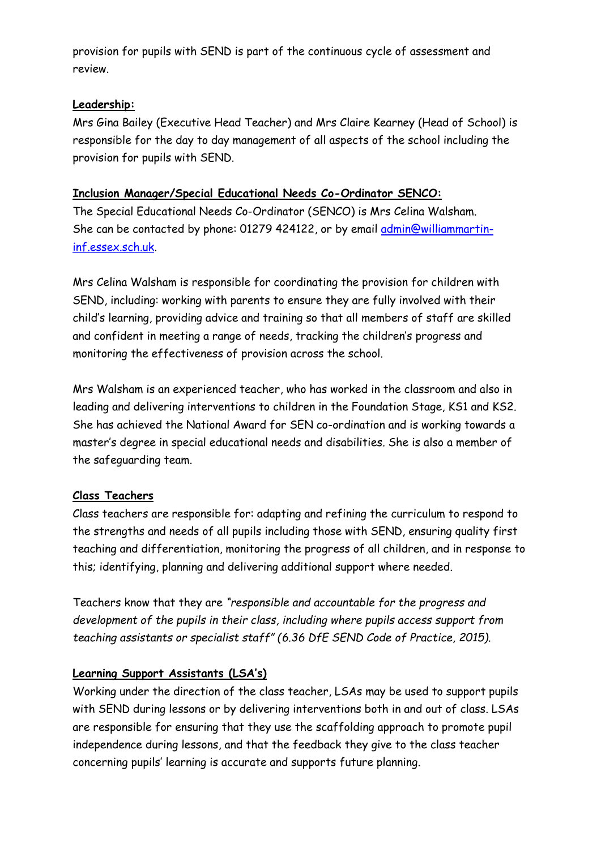provision for pupils with SEND is part of the continuous cycle of assessment and review.

#### **Leadership:**

Mrs Gina Bailey (Executive Head Teacher) and Mrs Claire Kearney (Head of School) is responsible for the day to day management of all aspects of the school including the provision for pupils with SEND.

#### **Inclusion Manager/Special Educational Needs Co-Ordinator SENCO:**

The Special Educational Needs Co-Ordinator (SENCO) is Mrs Celina Walsham. She can be contacted by phone: 01279 424122, or by email [admin@williammartin](mailto:admin@williammartin-inf.essex.sch.uk)[inf.essex.sch.uk.](mailto:admin@williammartin-inf.essex.sch.uk)

Mrs Celina Walsham is responsible for coordinating the provision for children with SEND, including: working with parents to ensure they are fully involved with their child's learning, providing advice and training so that all members of staff are skilled and confident in meeting a range of needs, tracking the children's progress and monitoring the effectiveness of provision across the school.

Mrs Walsham is an experienced teacher, who has worked in the classroom and also in leading and delivering interventions to children in the Foundation Stage, KS1 and KS2. She has achieved the National Award for SEN co-ordination and is working towards a master's degree in special educational needs and disabilities. She is also a member of the safeguarding team.

#### **Class Teachers**

Class teachers are responsible for: adapting and refining the curriculum to respond to the strengths and needs of all pupils including those with SEND, ensuring quality first teaching and differentiation, monitoring the progress of all children, and in response to this; identifying, planning and delivering additional support where needed.

Teachers know that they are *"responsible and accountable for the progress and development of the pupils in their class, including where pupils access support from teaching assistants or specialist staff" (6.36 DfE SEND Code of Practice, 2015).*

#### **Learning Support Assistants (LSA's)**

Working under the direction of the class teacher, LSAs may be used to support pupils with SEND during lessons or by delivering interventions both in and out of class. LSAs are responsible for ensuring that they use the scaffolding approach to promote pupil independence during lessons, and that the feedback they give to the class teacher concerning pupils' learning is accurate and supports future planning.